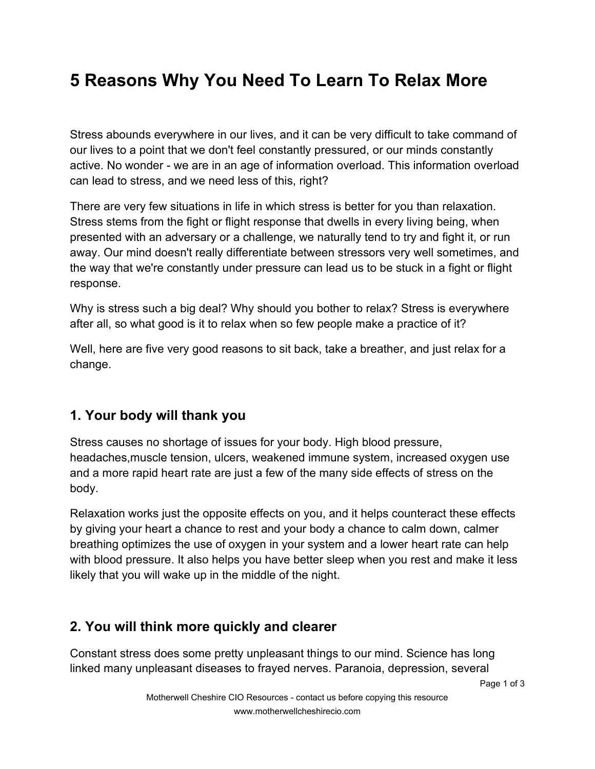# **5 Reasons Why You Need To Learn To Relax More**

Stress abounds everywhere in our lives, and it can be very difficult to take command of our lives to a point that we don't feel constantly pressured, or our minds constantly active. No wonder - we are in an age of information overload. This information overload can lead to stress, and we need less of this, right?

There are very few situations in life in which stress is better for you than relaxation. Stress stems from the fight or flight response that dwells in every living being, when presented with an adversary or a challenge, we naturally tend to try and fight it, or run away. Our mind doesn't really differentiate between stressors very well sometimes, and the way that we're constantly under pressure can lead us to be stuck in a fight or flight response.

Why is stress such a big deal? Why should you bother to relax? Stress is everywhere after all, so what good is it to relax when so few people make a practice of it?

Well, here are five very good reasons to sit back, take a breather, and just relax for a change.

#### **1. Your body will thank you**

Stress causes no shortage of issues for your body. High blood pressure, headaches,muscle tension, ulcers, weakened immune system, increased oxygen use and a more rapid heart rate are just a few of the many side effects of stress on the body.

Relaxation works just the opposite effects on you, and it helps counteract these effects by giving your heart a chance to rest and your body a chance to calm down, calmer breathing optimizes the use of oxygen in your system and a lower heart rate can help with blood pressure. It also helps you have better sleep when you rest and make it less likely that you will wake up in the middle of the night.

### **2. You will think more quickly and clearer**

Constant stress does some pretty unpleasant things to our mind. Science has long linked many unpleasant diseases to frayed nerves. Paranoia, depression, several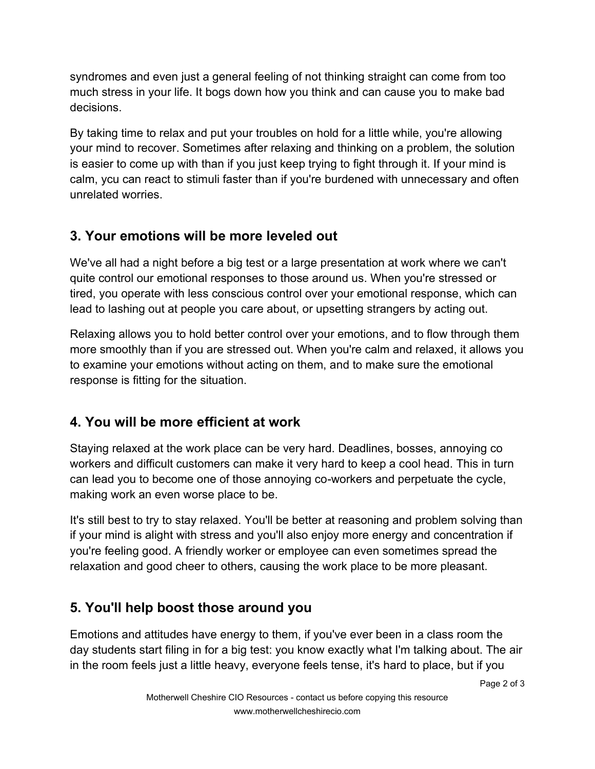syndromes and even just a general feeling of not thinking straight can come from too much stress in your life. It bogs down how you think and can cause you to make bad decisions.

By taking time to relax and put your troubles on hold for a little while, you're allowing your mind to recover. Sometimes after relaxing and thinking on a problem, the solution is easier to come up with than if you just keep trying to fight through it. If your mind is calm, ycu can react to stimuli faster than if you're burdened with unnecessary and often unrelated worries.

## **3. Your emotions will be more leveled out**

We've all had a night before a big test or a large presentation at work where we can't quite control our emotional responses to those around us. When you're stressed or tired, you operate with less conscious control over your emotional response, which can lead to lashing out at people you care about, or upsetting strangers by acting out.

Relaxing allows you to hold better control over your emotions, and to flow through them more smoothly than if you are stressed out. When you're calm and relaxed, it allows you to examine your emotions without acting on them, and to make sure the emotional response is fitting for the situation.

### **4. You will be more efficient at work**

Staying relaxed at the work place can be very hard. Deadlines, bosses, annoying co workers and difficult customers can make it very hard to keep a cool head. This in turn can lead you to become one of those annoying co-workers and perpetuate the cycle, making work an even worse place to be.

It's still best to try to stay relaxed. You'll be better at reasoning and problem solving than if your mind is alight with stress and you'll also enjoy more energy and concentration if you're feeling good. A friendly worker or employee can even sometimes spread the relaxation and good cheer to others, causing the work place to be more pleasant.

# **5. You'll help boost those around you**

Emotions and attitudes have energy to them, if you've ever been in a class room the day students start filing in for a big test: you know exactly what I'm talking about. The air in the room feels just a little heavy, everyone feels tense, it's hard to place, but if you